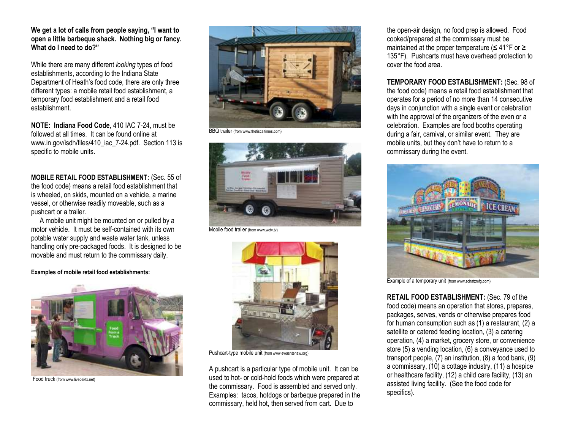**We get a lot of calls from people saying, "I want to open a little barbeque shack. Nothing big or fancy. What do I need to do?"**

While there are many different *looking* types of food establishments, according to the Indiana State Department of Heath's food code, there are only three different types: a mobile retail food establishment, a temporary food establishment and a retail food establishment.

**NOTE: Indiana Food Code**, 410 IAC 7-24, must be followed at all times. It can be found online at www.in.gov/isdh/files/410\_iac\_7-24.pdf. Section 113 is specific to mobile units.

**MOBILE RETAIL FOOD ESTABLISHMENT:** (Sec. 55 of the food code) means a retail food establishment that is wheeled, on skids, mounted on a vehicle, a marine vessel, or otherwise readily moveable, such as a pushcart or a trailer.

 A mobile unit might be mounted on or pulled by a motor vehicle. It must be self-contained with its own potable water supply and waste water tank, unless handling only pre-packaged foods. It is designed to be movable and must return to the commissary daily.

## **Examples of mobile retail food establishments:**



Food truck (from www.liveoaktx.net)



BBQ trailer (from www.thefiscaltimes.com)



Mobile food trailer (from www.wctv.tv)



Pushcart-type mobile unit (from www.ewashtenaw.org)

A pushcart is a particular type of mobile unit. It can be used to hot- or cold-hold foods which were prepared at the commissary. Food is assembled and served only. Examples: tacos, hotdogs or barbeque prepared in the commissary, held hot, then served from cart. Due to

the open-air design, no food prep is allowed. Food cooked/prepared at the commissary must be maintained at the proper temperature (≤ 41°F or ≥ 135°F). Pushcarts must have overhead protection to cover the food area.

**TEMPORARY FOOD ESTABLISHMENT:** (Sec. 98 of the food code) means a retail food establishment that operates for a period of no more than 14 consecutive days in conjunction with a single event or celebration with the approval of the organizers of the even or a celebration. Examples are food booths operating during a fair, carnival, or similar event. They are mobile units, but they don't have to return to a commissary during the event.



Example of a temporary unit (from www.schatzmfg.com)

**RETAIL FOOD ESTABLISHMENT:** (Sec. 79 of the food code) means an operation that stores, prepares, packages, serves, vends or otherwise prepares food for human consumption such as (1) a restaurant, (2) a satellite or catered feeding location, (3) a catering operation, (4) a market, grocery store, or convenience store (5) a vending location, (6) a conveyance used to transport people, (7) an institution, (8) a food bank, (9) a commissary, (10) a cottage industry, (11) a hospice or healthcare facility, (12) a child care facility, (13) an assisted living facility. (See the food code for specifics).